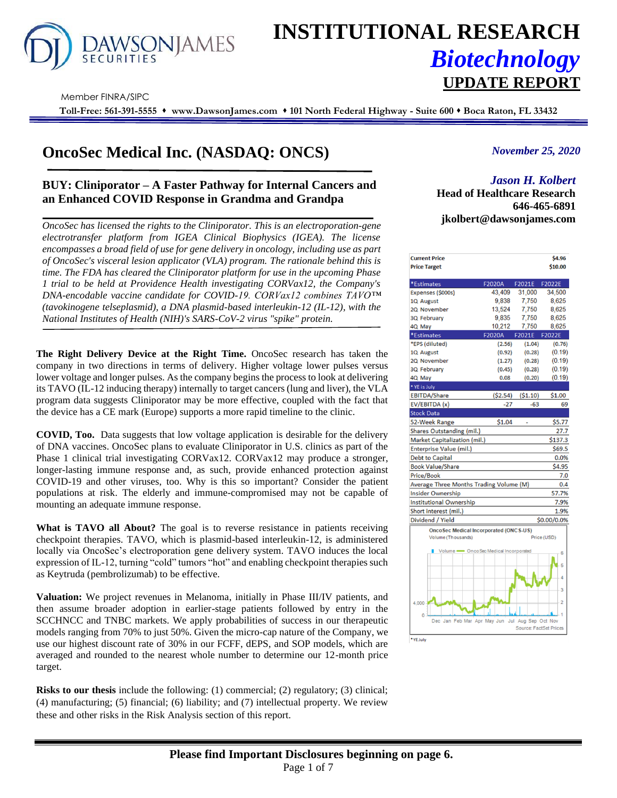

# **INSTITUTIONAL RESEARCH** *Biotechnology* **UPDATE REPORT**

Member FINRA/SIPC

**Toll-Free: 561-391-5555** ⬧ **www.DawsonJames.com** ⬧ **101 North Federal Highway - Suite 600** ⬧ **Boca Raton, FL 33432**

# **OncoSec Medical Inc. (NASDAQ: ONCS)**

# **BUY: Cliniporator – A Faster Pathway for Internal Cancers and an Enhanced COVID Response in Grandma and Grandpa**

*OncoSec has licensed the rights to the Cliniporator. This is an electroporation-gene electrotransfer platform from IGEA Clinical Biophysics (IGEA). The license encompasses a broad field of use for gene delivery in oncology, including use as part of OncoSec's visceral lesion applicator (VLA) program. The rationale behind this is time. The FDA has cleared the Cliniporator platform for use in the upcoming Phase 1 trial to be held at Providence Health investigating CORVax12, the Company's DNA-encodable vaccine candidate for COVID-19. CORVax12 combines TAVO™ (tavokinogene telseplasmid), a DNA plasmid-based interleukin-12 (IL-12), with the National Institutes of Health (NIH)'s SARS-CoV-2 virus "spike" protein.*

The Right Delivery Device at the Right Time. OncoSec research has taken the company in two directions in terms of delivery. Higher voltage lower pulses versus lower voltage and longer pulses. As the company begins the process to look at delivering its TAVO (IL-12 inducing therapy) internally to target cancers (lung and liver), the VLA program data suggests Cliniporator may be more effective, coupled with the fact that the device has a CE mark (Europe) supports a more rapid timeline to the clinic.

**COVID, Too.** Data suggests that low voltage application is desirable for the delivery of DNA vaccines. OncoSec plans to evaluate Cliniporator in U.S. clinics as part of the Phase 1 clinical trial investigating CORVax12. CORVax12 may produce a stronger, longer-lasting immune response and, as such, provide enhanced protection against COVID-19 and other viruses, too. Why is this so important? Consider the patient populations at risk. The elderly and immune-compromised may not be capable of mounting an adequate immune response.

What is **TAVO all About?** The goal is to reverse resistance in patients receiving checkpoint therapies. TAVO, which is plasmid-based interleukin-12, is administered locally via OncoSec's electroporation gene delivery system. TAVO induces the local expression of IL-12, turning "cold" tumors "hot" and enabling checkpoint therapies such as Keytruda (pembrolizumab) to be effective.

**Valuation:** We project revenues in Melanoma, initially in Phase III/IV patients, and then assume broader adoption in earlier-stage patients followed by entry in the SCCHNCC and TNBC markets. We apply probabilities of success in our therapeutic models ranging from 70% to just 50%. Given the micro-cap nature of the Company, we use our highest discount rate of 30% in our FCFF, dEPS, and SOP models, which are averaged and rounded to the nearest whole number to determine our 12-month price target.

**Risks to our thesis** include the following: (1) commercial; (2) regulatory; (3) clinical; (4) manufacturing; (5) financial; (6) liability; and (7) intellectual property. We review these and other risks in the Risk Analysis section of this report.

### *November 25, 2020*

## *Jason H. Kolbert*

**Investment Highlights Head of Healthcare Research 646-465-6891 jkolbert@dawsonjames.com**

| <b>Current Price</b>                          |           |                               | \$4.96      |
|-----------------------------------------------|-----------|-------------------------------|-------------|
| <b>Price Target</b>                           |           |                               | \$10.00     |
|                                               |           |                               |             |
| *Estimates                                    | F2020A    | F2021E                        | F2022E      |
| Expenses (\$000s)                             | 43.409    | 31,000                        | 34,500      |
| 1Q August                                     | 9,838     | 7,750                         | 8,625       |
| 2Q November                                   | 13,524    | 7.750                         | 8.625       |
| 3Q February                                   | 9,835     | 7,750                         | 8,625       |
| 4Q May                                        | 10,212    | 7,750                         | 8,625       |
| *Estimates                                    | F2020A    | F2021E                        | F2022E      |
| *EPS (diluted)                                | (2.56)    | (1.04)                        | (0.76)      |
| 1Q August                                     | (0.92)    | (0.28)                        | (0.19)      |
| 2Q November                                   | (1.27)    | (0.28)                        | (0.19)      |
| 3Q February                                   | (0.45)    | (0.28)                        | (0.19)      |
| 4Q May                                        | 0.08      | (0.20)                        | (0.19)      |
| * YE is July                                  |           |                               |             |
| <b>EBITDA/Share</b>                           | ( \$2.54) | ( \$1.10)                     | \$1.00      |
| EV/EBITDA (x)                                 | -27       | $-63$                         | 69          |
| <b>Stock Data</b>                             |           |                               |             |
| 52-Week Range                                 | \$1.04    |                               | \$5.77      |
| <b>Shares Outstanding (mil.)</b>              |           |                               | 27.7        |
| Market Capitalization (mil.)                  |           |                               | \$137.3     |
| <b>Enterprise Value (mil.)</b>                |           |                               | \$69.5      |
| <b>Debt to Capital</b>                        |           |                               | 0.0%        |
| <b>Book Value/Share</b>                       |           |                               | \$4.95      |
| <b>Price/Book</b>                             |           |                               | 7.0         |
| Average Three Months Trading Volume (M)       |           |                               | 0.4         |
| <b>Insider Ownership</b>                      |           |                               | 57.7%       |
| <b>Institutional Ownership</b>                |           |                               | 7.9%        |
| Short interest (mil.)                         |           |                               | 1.9%        |
| Dividend / Yield                              |           |                               | \$0.00/0.0% |
| <b>OncoSec Medical Incorporated (ONCS-US)</b> |           |                               |             |
| Volume (Thousands)                            |           |                               | Price (USD) |
|                                               |           |                               |             |
| Volume - OncoSec Medical Incorporated         |           |                               | 6           |
|                                               |           |                               | 5           |
|                                               |           |                               |             |
|                                               |           |                               | A           |
|                                               |           |                               | 3           |
|                                               |           |                               |             |
| 4.000                                         |           |                               | 2           |
| Ō                                             |           |                               |             |
| Dec Jan Feb Mar Apr May Jun                   | Jul       | Aug Sep Oct Nov               |             |
|                                               |           | <b>Source: FactSet Prices</b> |             |
| *YE July                                      |           |                               |             |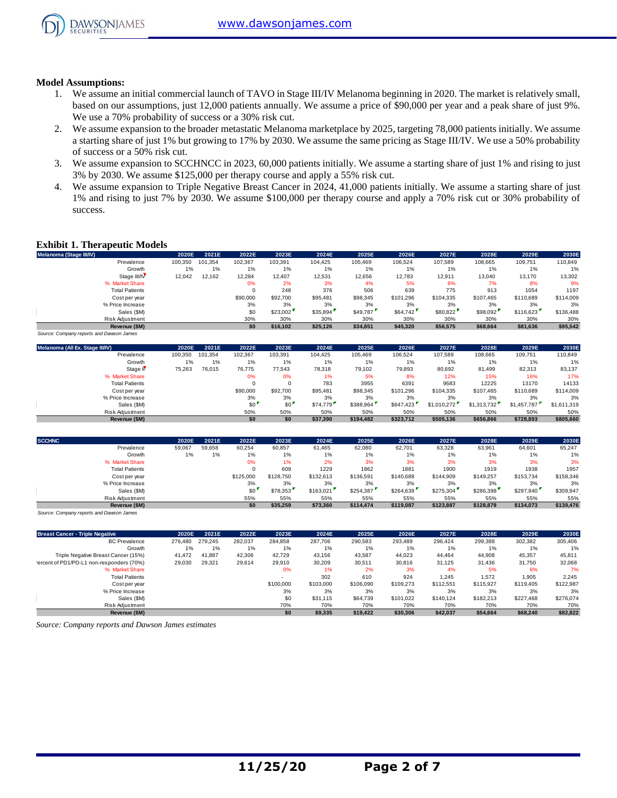

#### **Model Assumptions:**

- 1. We assume an initial commercial launch of TAVO in Stage III/IV Melanoma beginning in 2020. The market is relatively small, based on our assumptions, just 12,000 patients annually. We assume a price of \$90,000 per year and a peak share of just 9%. We use a 70% probability of success or a 30% risk cut.
- 2. We assume expansion to the broader metastatic Melanoma marketplace by 2025, targeting 78,000 patients initially. We assume a starting share of just 1% but growing to 17% by 2030. We assume the same pricing as Stage III/IV. We use a 50% probability of success or a 50% risk cut.
- 3. We assume expansion to SCCHNCC in 2023, 60,000 patients initially. We assume a starting share of just 1% and rising to just 3% by 2030. We assume \$125,000 per therapy course and apply a 55% risk cut.
- 4. We assume expansion to Triple Negative Breast Cancer in 2024, 41,000 patients initially. We assume a starting share of just 1% and rising to just 7% by 2030. We assume \$100,000 per therapy course and apply a 70% risk cut or 30% probability of success.

#### **Exhibit 1. Therapeutic Models**

| <b>Exhibit 1. Therapeutic Models</b>     |         |         |          |          |          |          |           |           |           |           |           |
|------------------------------------------|---------|---------|----------|----------|----------|----------|-----------|-----------|-----------|-----------|-----------|
| Melanoma (Stage III/IV)                  | 2020E   | 2021E   | 2022E    | 2023E    | 2024E    | 2025E    | 2026E     | 2027E     | 2028E     | 2029E     | 2030E     |
| Prevalence                               | 100,350 | 101.354 | 102,367  | 103,391  | 104.425  | 105.469  | 106,524   | 107.589   | 108,665   | 109,751   | 110,849   |
| Growth                                   | 1%      | 1%      | 1%       | 1%       | 1%       | 1%       | 1%        | 1%        | 1%        | 1%        | 1%        |
| Stage III/IV                             | 12,042  | 12,162  | 12,284   | 12,407   | 12,531   | 12,656   | 12,783    | 12,911    | 13,040    | 13,170    | 13,302    |
| % Market Share                           |         |         | 0%       | 2%       | 3%       | 4%       | 5%        | 6%        | 7%        | 8%        | 9%        |
| <b>Total Patients</b>                    |         |         | $\Omega$ | 248      | 376      | 506      | 639       | 775       | 913       | 1054      | 1197      |
| Cost per year                            |         |         | \$90,000 | \$92,700 | \$95,481 | \$98,345 | \$101.296 | \$104,335 | \$107.465 | \$110,689 | \$114,009 |
| % Price Increase                         |         |         | 3%       | 3%       | 3%       | 3%       | 3%        | 3%        | 3%        | 3%        | 3%        |
| Sales (\$M)                              |         |         | \$0      | \$23,002 | \$35,894 | \$49,787 | \$64,742  | \$80,822  | \$98,092  | \$116,623 | \$136,488 |
| Risk Adjustment                          |         |         | 30%      | 30%      | 30%      | 30%      | 30%       | 30%       | 30%       | 30%       | 30%       |
| Revenue (\$M)                            |         |         | \$0      | \$16.102 | \$25,126 | \$34,851 | \$45,320  | \$56,575  | \$68,664  | \$81,636  | \$95,542  |
| Source: Company reports and Dawson James |         |         |          |          |          |          |           |           |           |           |           |

| Sales (\$M)                              |         |         | \$0      | \$23,002 | \$35,894 | \$49,787  | \$64,742  | \$80,822    | \$98,092    | \$116,623   | \$136,488   |
|------------------------------------------|---------|---------|----------|----------|----------|-----------|-----------|-------------|-------------|-------------|-------------|
| Risk Adjustment                          |         |         | 30%      | 30%      | 30%      | 30%       | 30%       | 30%         | 30%         | 30%         | 30%         |
| Revenue (\$M)                            |         |         | \$0      | \$16,102 | \$25,126 | \$34,851  | \$45,320  | \$56,575    | \$68,664    | \$81,636    | \$95,542    |
| Source: Company reports and Dawson James |         |         |          |          |          |           |           |             |             |             |             |
| Melanoma (All Ex. Stage III/IV)          | 2020E   | 2021E   | 2022E    | 2023E    | 2024E    | 2025E     | 2026E     | 2027E       | 2028E       | 2029E       | 2030E       |
| Prevalence                               | 100,350 | 101.354 | 102,367  | 103,391  | 104,425  | 105,469   | 106,524   | 107,589     | 108,665     | 109,751     | 110,849     |
| Growth                                   | 1%      | 1%      | 1%       | 1%       | 1%       | $1\%$     | 1%        | 1%          | 1%          | 1%          | 1%          |
| Stage II <sup></sup>                     | 75,263  | 76,015  | 76,775   | 77,543   | 78,318   | 79,102    | 79,893    | 80,692      | 81,499      | 82,313      | 83,137      |
| % Market Share                           |         |         | 0%       | 0%       | 1%       | 5%        | 8%        | 12%         | 15%         | 16%         | 17%         |
| <b>Total Patients</b>                    |         |         |          | $\Omega$ | 783      | 3955      | 6391      | 9683        | 12225       | 13170       | 14133       |
| Cost per year                            |         |         | \$90,000 | \$92,700 | \$95,481 | \$98,345  | \$101.296 | \$104.335   | \$107,465   | \$110,689   | \$114,009   |
| % Price Increase                         |         |         | 3%       | 3%       | 3%       | 3%        | 3%        | 3%          | 3%          | 3%          | 3%          |
| Sales (\$M)                              |         |         | \$0      | \$0      | \$74,779 | \$388,964 | \$647,423 | \$1,010,272 | \$1,313,732 | \$1,457,787 | \$1,611,319 |
| <b>Risk Adiustment</b>                   |         |         | 50%      | 50%      | 50%      | 50%       | 50%       | 50%         | 50%         | 50%         | 50%         |
| Revenue (\$M)                            |         |         | \$0      | \$0      | \$37,390 | \$194,482 | \$323,712 | \$505,136   | \$656,866   | \$728,893   | \$805,660   |
|                                          |         |         |          |          |          |           |           |             |             |             |             |
|                                          |         |         |          |          |          |           |           |             |             |             |             |

|               | Sales (\$M)                              |        |        | \$0       | \$0       | \$74,779  | \$388,964 | \$647.423 | \$1,010,272 | \$1,313,732 | \$1,457,787 | \$1.611.319 |
|---------------|------------------------------------------|--------|--------|-----------|-----------|-----------|-----------|-----------|-------------|-------------|-------------|-------------|
|               | Risk Adjustment                          |        |        | 50%       | 50%       | 50%       | 50%       | 50%       | 50%         | 50%         | 50%         | 50%         |
|               | Revenue (\$M)                            |        |        | \$0       | \$0       | \$37,390  | \$194,482 | \$323.712 | \$505,136   | \$656,866   | \$728,893   | \$805,660   |
| <b>SCCHNC</b> |                                          | 2020E  | 2021E  | 2022E     | 2023E     | 2024E     | 2025E     | 2026E     | 2027E       | 2028E       | 2029E       | 2030E       |
|               | Prevalence                               | 59,067 | 59,658 | 60,254    | 60,857    | 61,465    | 62,080    | 62,701    | 63,328      | 63,961      | 64,601      | 65,247      |
|               | Growth                                   | 1%     | 1%     | 1%        | 1%        | 1%        | 1%        | 1%        | 1%          | 1%          | 1%          | 1%          |
|               | % Market Share                           |        |        | 0%        | 1%        | 2%        | 3%        | 3%        | 3%          | 3%          | 3%          | 3%          |
|               | <b>Total Patients</b>                    |        |        |           | 609       | 1229      | 1862      | 1881      | 1900        | 1919        | 1938        | 1957        |
|               | Cost per year                            |        |        | \$125,000 | \$128,750 | \$132,613 | \$136,591 | \$140,689 | \$144,909   | \$149,257   | \$153,734   | \$158,346   |
|               | % Price Increase                         |        |        | 3%        | 3%        | 3%        | 3%        | 3%        | 3%          | 3%          | 3%          | 3%          |
|               | Sales (\$M)                              |        |        | \$0       | \$78,353  | \$163,021 | \$254,387 | \$264,639 | \$275,304   | \$286,398   | \$297,940   | \$309,947   |
|               | <b>Risk Adiustment</b>                   |        |        | 55%       | 55%       | 55%       | 55%       | 55%       | 55%         | 55%         | 55%         | 55%         |
|               | Revenue (\$M)                            |        |        | \$0       | \$35,259  | \$73,360  | \$114,474 | \$119,087 | \$123,887   | \$128,879   | \$134,073   | \$139,476   |
|               | Source: Company reports and Dawson James |        |        |           |           |           |           |           |             |             |             |             |

| Risk Adjustment                                    |         |         | 55%     | 55%       | 55%       | 55%       | 55%       | 55%       | 55%       | 55%       | 55%       |
|----------------------------------------------------|---------|---------|---------|-----------|-----------|-----------|-----------|-----------|-----------|-----------|-----------|
| Revenue (\$M)                                      |         |         | \$0     | \$35,259  | \$73,360  | \$114,474 | \$119,087 | \$123.887 | \$128,879 | \$134,073 | \$139,476 |
| Source: Company reports and Dawson James           |         |         |         |           |           |           |           |           |           |           |           |
| <b>Breast Cancer - Triple Negative</b>             | 2020E   | 2021E   | 2022E   | 2023E     | 2024E     | 2025E     | 2026E     | 2027E     | 2028E     | 2029E     | 2030E     |
| <b>BC</b> Prevalence                               | 276.480 | 279.245 | 282,037 | 284.858   | 287,706   | 290,583   | 293.489   | 296.424   | 299,388   | 302,382   | 305,406   |
| Growth                                             | 1%      | 1%      | 1%      | 1%        | 1%        | 1%        | 1%        | 1%        | 1%        | 1%        | 1%        |
| Triple Negative Breast Cancer (15%)                | 41,472  | 41,887  | 42,306  | 42.729    | 43,156    | 43,587    | 44,023    | 44.464    | 44,908    | 45,357    | 45,811    |
| 'ercent of PD1/PD-L1 non-responders (70%)          | 29,030  | 29,321  | 29,614  | 29,910    | 30,209    | 30,511    | 30,816    | 31,125    | 31,436    | 31,750    | 32,068    |
| % Market Share                                     |         |         |         | 0%        | 1%        | 2%        | 3%        | 4%        | 5%        | 6%        | 7%        |
| <b>Total Patients</b>                              |         |         |         |           | 302       | 610       | 924       | 1,245     | 1,572     | 1,905     | 2,245     |
| Cost per year                                      |         |         |         | \$100,000 | \$103,000 | \$106,090 | \$109.273 | \$112,551 | \$115,927 | \$119,405 | \$122,987 |
| % Price Increase                                   |         |         |         | 3%        | 3%        | 3%        | 3%        | 3%        | 3%        | 3%        | 3%        |
| Sales (\$M)                                        |         |         |         | \$0       | \$31.115  | \$64,739  | \$101.022 | \$140.124 | \$182,213 | \$227,468 | \$276,074 |
| Risk Adjustment                                    |         |         |         | 70%       | 70%       | 70%       | 70%       | 70%       | 70%       | 70%       | 70%       |
| Revenue (\$M)                                      |         |         |         | \$0       | \$9,335   | \$19,422  | \$30,306  | \$42,037  | \$54,664  | \$68,240  | \$82,822  |
| Source: Company reports and Dawson James estimates |         |         |         |           |           |           |           |           |           |           |           |

*Source: Company reports and Dawson James estimates*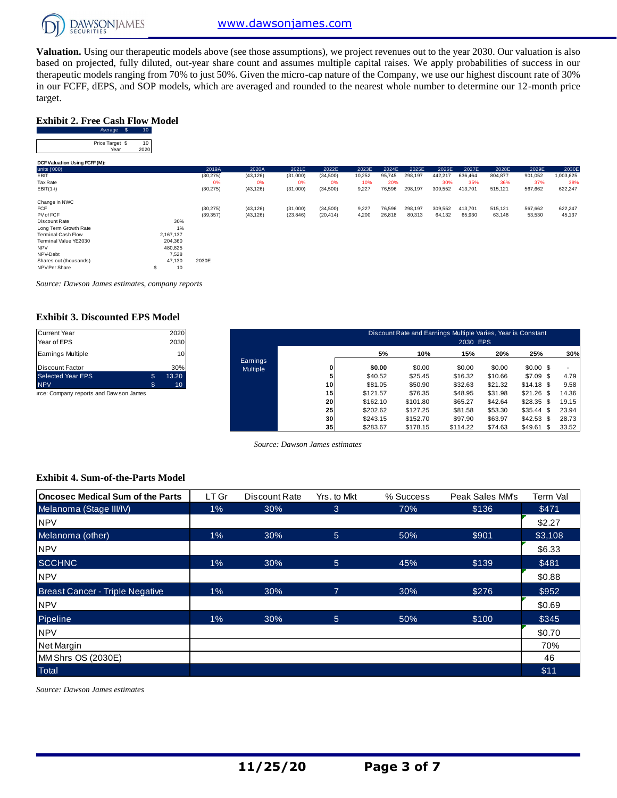

**Valuation.** Using our therapeutic models above (see those assumptions), we project revenues out to the year 2030. Our valuation is also based on projected, fully diluted, out-year share count and assumes multiple capital raises. We apply probabilities of success in our therapeutic models ranging from 70% to just 50%. Given the micro-cap nature of the Company, we use our highest discount rate of 30% Exhibit 2. Free Cash Flow Model<br>
Exhibit 2. Free Cash Flow Model<br>
Average \$ 10<br>
Price Tange! \$ 10 target.

#### **Exhibit 2. Free Cash Flow Model**

| target.                                              |                 |           |           |           |           |        |        |         |         |         |         |         |           |
|------------------------------------------------------|-----------------|-----------|-----------|-----------|-----------|--------|--------|---------|---------|---------|---------|---------|-----------|
| <b>Exhibit 2. Free Cash Flow Model</b><br>Average \$ | 10 <sub>1</sub> |           |           |           |           |        |        |         |         |         |         |         |           |
| Price Target \$<br>Year                              | 10<br>2020      |           |           |           |           |        |        |         |         |         |         |         |           |
| DCF Valuation Using FCFF (M):                        |                 |           |           |           |           |        |        |         |         |         |         |         |           |
| units ('000)                                         |                 | 2019A     | 2020A     | 2021E     | 2022E     | 2023E  | 2024E  | 2025E   | 2026E   | 2027E   | 2028E   | 2029E   | 2030E     |
| EBIT                                                 |                 | (30, 275) | (43, 126) | (31,000)  | (34,500)  | 10,252 | 95,745 | 298,197 | 442,217 | 636,464 | 804,877 | 901,052 | 1,003,625 |
| Tax Rate                                             |                 | 0%        | 0%        | 0%        | 0%        | 10%    | 20%    |         | 30%     | 35%     | 36%     | 37%     | 38%       |
| $EBIT(1-t)$                                          |                 | (30, 275) | (43, 126) | (31,000)  | (34, 500) | 9,227  | 76,596 | 298,197 | 309,552 | 413,701 | 515,121 | 567,662 | 622,247   |
| Change in NWC                                        |                 |           |           |           |           |        |        |         |         |         |         |         |           |
| <b>FCF</b>                                           |                 | (30, 275) | (43, 126) | (31,000)  | (34,500)  | 9,227  | 76,596 | 298,197 | 309,552 | 413,701 | 515,121 | 567,662 | 622,247   |
| PV of FCF                                            |                 | (39, 357) | (43, 126) | (23, 846) | (20, 414) | 4,200  | 26,818 | 80,313  | 64,132  | 65,930  | 63,148  | 53,530  | 45,137    |
| Discount Rate                                        | 30%             |           |           |           |           |        |        |         |         |         |         |         |           |
| Long Term Growth Rate                                | 1%              |           |           |           |           |        |        |         |         |         |         |         |           |
| <b>Terminal Cash Flow</b>                            | 2,167,137       |           |           |           |           |        |        |         |         |         |         |         |           |
| Terminal Value YE2030                                | 204,360         |           |           |           |           |        |        |         |         |         |         |         |           |
| <b>NPV</b>                                           | 480,825         |           |           |           |           |        |        |         |         |         |         |         |           |
| NPV-Debt                                             | 7,528           |           |           |           |           |        |        |         |         |         |         |         |           |
| Shares out (thousands)                               | 47,130          | 2030E     |           |           |           |        |        |         |         |         |         |         |           |
| NPV Per Share                                        | 10<br>\$        |           |           |           |           |        |        |         |         |         |         |         |           |

*Source: Dawson James estimates, company reports*

#### **Exhibit 3. Discounted EPS Model**

| <b>Current Year</b>      |     | 2020  |
|--------------------------|-----|-------|
| Year of EPS              |     | 2030  |
| <b>Earnings Multiple</b> |     | 10    |
| <b>Discount Factor</b>   |     | 30%   |
| <b>Selected Year EPS</b> | \$. | 13.20 |
| <b>NPV</b>               | S   | 10    |

| <b>Current Year</b><br>Year of EPS      |              | 2020<br>2030    |                             |    |          | Discount Rate and Earnings Multiple Varies, Year is Constant | 2030 EPS |         |                 |       |
|-----------------------------------------|--------------|-----------------|-----------------------------|----|----------|--------------------------------------------------------------|----------|---------|-----------------|-------|
| <b>Earnings Multiple</b>                |              | 10 <sub>1</sub> |                             |    | 5%       | 10%                                                          | 15%      | 20%     | 25%             | 30%   |
| <b>Discount Factor</b>                  |              | 30%             | Earnings<br><b>Multiple</b> |    | \$0.00   | \$0.00                                                       | \$0.00   | \$0.00  | $$0.00$ \$      |       |
| <b>Selected Year EPS</b>                | $\mathbb{S}$ | 13.20           |                             |    | \$40.52  | \$25.45                                                      | \$16.32  | \$10.66 | $$7.09$ \$      | 4.79  |
| <b>NPV</b>                              | \$           | 10 <sup>°</sup> |                             | 10 | \$81.05  | \$50.90                                                      | \$32.63  | \$21.32 | $$14.18$ \$     | 9.58  |
| irce: Company reports and Daw son James |              |                 |                             | 15 | \$121.57 | \$76.35                                                      | \$48.95  | \$31.98 | \$21.26<br>- \$ | 14.36 |
|                                         |              |                 |                             | 20 | \$162.10 | \$101.80                                                     | \$65.27  | \$42.64 | \$28.35<br>- \$ | 19.15 |
|                                         |              |                 |                             | 25 | \$202.62 | \$127.25                                                     | \$81.58  | \$53.30 | \$35.44<br>- \$ | 23.94 |
|                                         |              |                 |                             | 30 | \$243.15 | \$152.70                                                     | \$97.90  | \$63.97 | \$42.53<br>- \$ | 28.73 |
|                                         |              |                 |                             | 35 | \$283.67 | \$178.15                                                     | \$114.22 | \$74.63 | \$49.61<br>\$   | 33.52 |

*Source: Dawson James estimates*

#### **Exhibit 4. Sum-of-the-Parts Model**

| Oncosec Medical Sum of the Parts       | LT Gr | Discount Rate | Yrs. to Mkt    | % Success | Peak Sales MM's | Term Val |
|----------------------------------------|-------|---------------|----------------|-----------|-----------------|----------|
| Melanoma (Stage III/IV)                | $1\%$ | 30%           | 3              | 70%       | \$136           | \$471    |
| <b>NPV</b>                             |       |               |                |           |                 | \$2.27   |
| Melanoma (other)                       | 1%    | 30%           | 5              | 50%       | \$901           | \$3,108  |
| <b>NPV</b>                             |       |               |                |           |                 | \$6.33   |
| <b>SCCHNC</b>                          | $1\%$ | 30%           | 5              | 45%       | \$139           | \$481    |
| <b>NPV</b>                             |       |               |                |           |                 | \$0.88   |
| <b>Breast Cancer - Triple Negative</b> | 1%    | 30%           | $\overline{7}$ | 30%       | \$276           | \$952    |
| <b>NPV</b>                             |       |               |                |           |                 | \$0.69   |
| Pipeline                               | 1%    | 30%           | 5              | 50%       | \$100           | \$345    |
| <b>NPV</b>                             |       |               |                |           |                 | \$0.70   |
| Net Margin                             |       |               |                |           |                 | 70%      |
| MM Shrs OS (2030E)                     |       |               |                |           |                 | 46       |
| <b>Total</b>                           |       |               |                |           |                 | \$11     |

*Source: Dawson James estimates*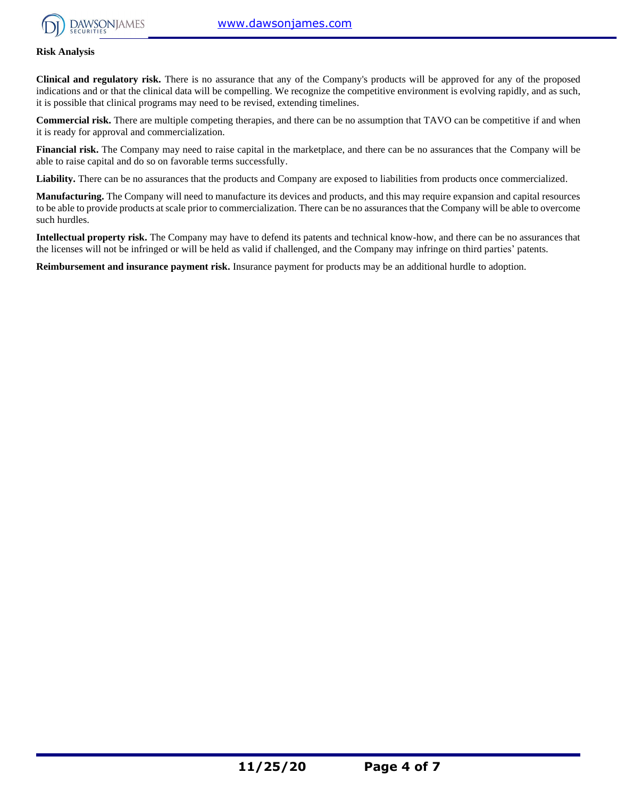

#### **Risk Analysis**

**Clinical and regulatory risk.** There is no assurance that any of the Company's products will be approved for any of the proposed indications and or that the clinical data will be compelling. We recognize the competitive environment is evolving rapidly, and as such, it is possible that clinical programs may need to be revised, extending timelines.

**Commercial risk.** There are multiple competing therapies, and there can be no assumption that TAVO can be competitive if and when it is ready for approval and commercialization.

**Financial risk.** The Company may need to raise capital in the marketplace, and there can be no assurances that the Company will be able to raise capital and do so on favorable terms successfully.

Liability. There can be no assurances that the products and Company are exposed to liabilities from products once commercialized.

**Manufacturing.** The Company will need to manufacture its devices and products, and this may require expansion and capital resources to be able to provide products at scale prior to commercialization. There can be no assurances that the Company will be able to overcome such hurdles.

**Intellectual property risk.** The Company may have to defend its patents and technical know-how, and there can be no assurances that the licenses will not be infringed or will be held as valid if challenged, and the Company may infringe on third parties' patents.

**Reimbursement and insurance payment risk.** Insurance payment for products may be an additional hurdle to adoption.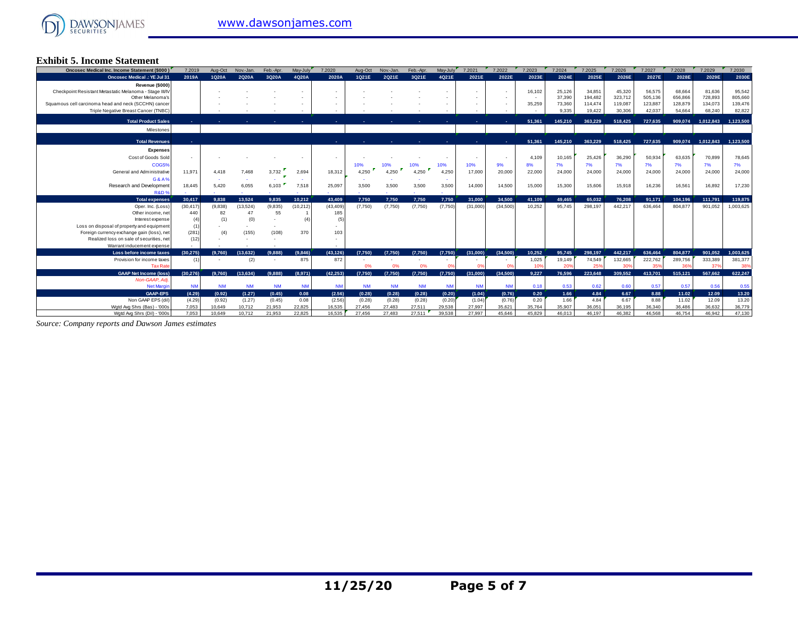

#### **Exhibit 5. Income Statement**

| <b>Oncosec Medical Inc. Income Statement (\$000)</b>                     | 7.2019         | Aug-Oct          | Nov.-Jan.        | Feb.-Apr.        | May-July         | 7.2020           | Aug-Oct          | Nov.-Jan.        | Feb.-Apr.        | May-July         | 7.2021           | 7.2022           | 7.2023           | 7.2024           | 7.2025             | 7.2026                     | 7.2027             | 7.2028             | 7.2029             | 7.2030               |
|--------------------------------------------------------------------------|----------------|------------------|------------------|------------------|------------------|------------------|------------------|------------------|------------------|------------------|------------------|------------------|------------------|------------------|--------------------|----------------------------|--------------------|--------------------|--------------------|----------------------|
| <b>Oncosec Medical .: YE Jul 31</b>                                      | 2019A          | 1Q20A            | 2Q20A            | 3Q20A            | 4Q20A            | 2020A            | 1Q21E            | 2Q21E            | 3Q21E            | 4Q21E            | 2021E            | 2022E            | 2023E            | 2024E            | 2025E              | 2026E                      | 2027E              | 2028E              | 2029E              | 2030E                |
| Revenue (\$000)                                                          |                |                  |                  |                  |                  |                  |                  |                  |                  |                  |                  |                  |                  |                  |                    |                            |                    |                    |                    |                      |
| Checkpoint Resistant Metastatic Melanoma - Stage III/IV                  |                |                  |                  |                  |                  |                  |                  |                  |                  |                  |                  |                  | 16,102           | 25,126           | 34,851             | 45,320                     | 56,575             | 68,664             | 81.636             | 95,542               |
| Other Melanoma's<br>Squamous cell carcinoma head and neck (SCCHN) cancer |                |                  |                  |                  |                  |                  |                  |                  |                  |                  |                  |                  | 35,259           | 37,390<br>73,360 | 194.482<br>114,474 | 323,712<br>119,087         | 505.136<br>123,887 | 656,866<br>128,879 | 728,893<br>134,073 | 805,660<br>139,476   |
| Triple Negative Breast Cancer (TNBC)                                     |                |                  |                  |                  |                  |                  |                  |                  |                  |                  |                  |                  |                  | 9.335            | 19,422             | 30,306                     | 42,037             | 54,664             | 68,240             | 82,822               |
|                                                                          |                |                  |                  |                  |                  |                  |                  |                  |                  |                  |                  |                  |                  |                  |                    |                            |                    |                    |                    |                      |
| <b>Total Product Sales</b>                                               |                |                  |                  |                  |                  |                  |                  |                  |                  |                  |                  |                  | 51,361           | 145,210          | 363.229            | 518,425                    | 727.635            | 909.074            | 1,012,843          | 1,123,500            |
| Milestones                                                               |                |                  |                  |                  |                  |                  |                  |                  |                  |                  |                  |                  |                  |                  |                    |                            |                    |                    |                    |                      |
| <b>Total Revenues</b>                                                    |                |                  |                  |                  |                  |                  |                  |                  |                  |                  |                  |                  | 51,361           | 145,210          | 363.229            | 518,425                    | 727,635            | 909.074            | 1,012,843          | 1,123,500            |
|                                                                          |                |                  |                  |                  |                  |                  |                  |                  |                  |                  |                  |                  |                  |                  |                    |                            |                    |                    |                    |                      |
| <b>Expenses</b>                                                          |                |                  |                  |                  |                  |                  |                  |                  |                  |                  |                  |                  |                  |                  |                    |                            | 50.934             |                    |                    |                      |
| Cost of Goods Sold<br>COGS%                                              |                |                  |                  |                  |                  |                  |                  |                  |                  |                  |                  |                  | 4.109            | 10,165           | 25,426             | 36,290                     |                    | 63.635             | 70,899             | 78,645               |
|                                                                          | 11.971         |                  |                  |                  | 2,694            | 18.312           | 10%<br>4.250     | 10%<br>4.250     | 10%              | 10%<br>4,250     | 10%<br>17,000    | 9%<br>20,000     | 8%               | 7%<br>24,000     | 7%<br>24,000       | 7%<br>24,000               | 7%<br>24,000       | 7%<br>24,000       | 7%                 | 7%                   |
| General and Administrative                                               |                | 4.418            | 7.468            | 3,732            |                  |                  |                  |                  | 4,250            |                  |                  |                  | 22,000           |                  |                    |                            |                    |                    | 24,000             | 24,000               |
| G&A%<br>Research and Development                                         | 18.445         | 5.420            | 6,055            | 6,103            | 7,518            | 25.097           | 3,500            | 3,500            | 3,500            | 3,500            | 14,000           | 14.500           | 15,000           | 15,300           | 15,606             | 15,918                     | 16,236             | 16,561             | 16,892             | 17,230               |
| R&D <sup>®</sup>                                                         |                |                  |                  |                  |                  |                  |                  |                  |                  |                  |                  |                  |                  |                  |                    |                            |                    |                    |                    |                      |
|                                                                          |                |                  |                  |                  |                  |                  |                  |                  |                  |                  |                  |                  |                  |                  |                    |                            |                    |                    |                    |                      |
| <b>Total expenses</b>                                                    | 30.417         | 9.838            | 13.524           | 9.835            | 10.212           | 43.409           | 7.750            | 7.750            | 7.750            | 7.750            | 31.000           | 34.500           | 41.109           | 49.465           | 65.032             | 76.208                     | 91.171             | 104.196            | 111.791            |                      |
| Oper, Inc. (Loss)                                                        | (30.417)       | (9.838)          | (13,524)         | (9,835)          | (10, 212)        | (43.409)         | (7.750)          | (7,750)          | (7,750)          | (7,750)          | (31,000)         | (34.500)         | 10.252           | 95.745           | 298.197            | 442.217                    | 636,464            | 804.877            | 901.052            | 119,875<br>1,003,625 |
| Other income, net                                                        | 440            | 82               | 47               | 55               |                  | 185              |                  |                  |                  |                  |                  |                  |                  |                  |                    |                            |                    |                    |                    |                      |
| Interest expense                                                         | (4)            | (1)              | (0)              |                  | (4)              | (5)              |                  |                  |                  |                  |                  |                  |                  |                  |                    |                            |                    |                    |                    |                      |
| Loss on disposal of property and equipment                               |                |                  |                  |                  |                  |                  |                  |                  |                  |                  |                  |                  |                  |                  |                    |                            |                    |                    |                    |                      |
| Foreign currency exchange gain (loss), net                               | (281)          | (4)              | (155)            | (108)            | 370              | 103              |                  |                  |                  |                  |                  |                  |                  |                  |                    |                            |                    |                    |                    |                      |
| Realized loss on sale of securities, net                                 | (12)           |                  |                  |                  |                  |                  |                  |                  |                  |                  |                  |                  |                  |                  |                    |                            |                    |                    |                    |                      |
| Warrant inducement expense                                               |                |                  |                  |                  |                  |                  |                  |                  |                  |                  |                  |                  |                  |                  |                    |                            |                    |                    |                    |                      |
| Loss before income taxes                                                 | (30.275)       | (9.760)          | (13.632)         | (9.888)          | (9,846)<br>875   | (43.126)<br>872  | (7.750)          | (7.750)          | (7.750)          | (7.750)          | (31.000)         | (34.500)         | 10.252           | 95.745           | 298.197            | 442.217                    | 636,464            | 804.877            | 901.052            | 1.003.625            |
| Provision for income taxes<br><b>Tax Rate</b>                            |                |                  | (2)              |                  |                  |                  | 0%               | 0%               | 0%               |                  |                  |                  | 1,025<br>10%     | 19,149<br>20%    | 74,549<br>25%      | 132,665<br>30 <sup>o</sup> | 222,762<br>359     | 289,756<br>36      | 333,389<br>37%     | 381,377<br>38%       |
| <b>GAAP Net Income (loss)</b>                                            | (30, 276)      | (9.760)          | (13,634)         | (9.888)          | (8,971)          | (42.253)         | (7,750)          | (7,750)          | (7,750)          | (7,750)          | (31,000)         | (34,500)         | 9.227            | 76.596           | 223.648            | 309,552                    | 413,701            | 515,121            | 567.662            | 622,247              |
| Non-GAAP, Adi.                                                           |                |                  |                  |                  |                  |                  |                  |                  |                  |                  |                  |                  |                  |                  |                    |                            |                    |                    |                    |                      |
| <b>Net Margin</b>                                                        | <b>NM</b>      | <b>NM</b>        | <b>NM</b>        | <b>NM</b>        | <b>NM</b>        | <b>NM</b>        | <b>NM</b>        | <b>NM</b>        | <b>NM</b>        | <b>NM</b>        | <b>NM</b>        | <b>NM</b>        | 0.18             | 0.53             | 0.62               | 0.60                       | 0.57               | 0.57               | 0.56               | 0.55                 |
| <b>GAAP-EPS</b>                                                          | (4.29)         | (0.92)           | (1.27)           | (0.45)           | 0.08             | (2.56)           | (0.28)           | (0.28)           | (0.28)           | (0.20)           | (1.04)           | (0.76)           | 0.20             | 1.66             | 4.84               | 6.67                       | 8.88               | 11.02              | 12.09              | 13.20                |
| Non GAAP EPS (dil)                                                       | (4.29)         | (0.92)           | (1.27)           | (0.45)           | 0.08             | (2.56)           | (0.28)           | (0.28)           | (0.28)           | (0.20)           | (1.04)           | (0.76)           | 0.20             | 1.66             | 4.84               | 6.67                       | 8.88               | 11.02              | 12.09              | 13.20                |
| Wgtd Avg Shrs (Bas) - '000s<br>Wgtd Avg Shrs (Dil) - '000s               | 7,053<br>7.053 | 10,649<br>10.649 | 10,712<br>10.712 | 21,953<br>21,953 | 22,825<br>22,825 | 16.535<br>16.535 | 27,456<br>27,456 | 27,483<br>27,483 | 27,511<br>27.511 | 29,538<br>39,538 | 27,997<br>27.997 | 35,621<br>45.646 | 35,764<br>45.829 | 35,907<br>46.013 | 36,051<br>46,197   | 36,195<br>46.382           | 36,340<br>46.568   | 36,486<br>46.754   | 36,632<br>46.942   | 36,779<br>47,130     |

*Source: Company reports and Dawson James estimates*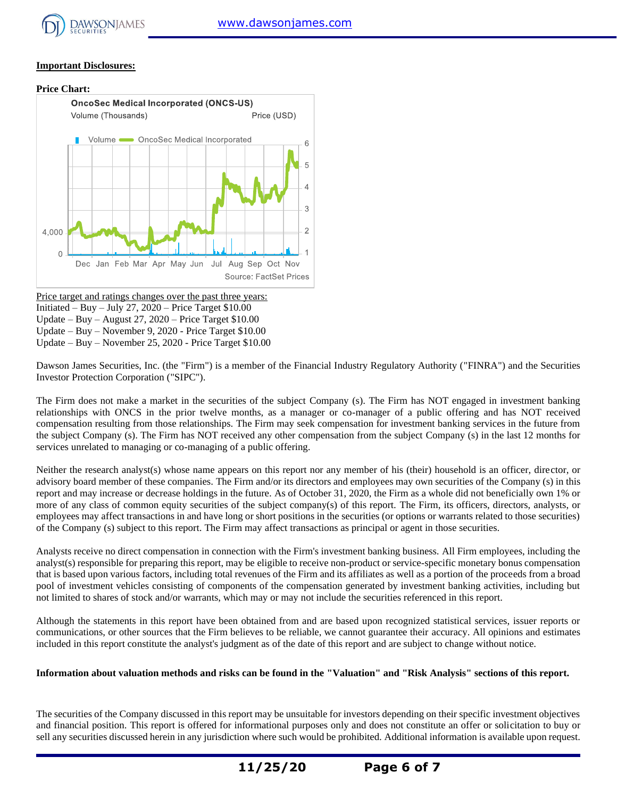

#### **Important Disclosures:**

#### **Price Chart:**



Price target and ratings changes over the past three years: Initiated – Buy – July 27,  $2020$  – Price Target \$10.00 Update – Buy – August 27, 2020 – Price Target \$10.00 Update – Buy – November 9, 2020 - Price Target \$10.00 Update – Buy – November 25, 2020 - Price Target \$10.00

Dawson James Securities, Inc. (the "Firm") is a member of the Financial Industry Regulatory Authority ("FINRA") and the Securities Investor Protection Corporation ("SIPC").

The Firm does not make a market in the securities of the subject Company (s). The Firm has NOT engaged in investment banking relationships with ONCS in the prior twelve months, as a manager or co-manager of a public offering and has NOT received compensation resulting from those relationships. The Firm may seek compensation for investment banking services in the future from the subject Company (s). The Firm has NOT received any other compensation from the subject Company (s) in the last 12 months for services unrelated to managing or co-managing of a public offering.

Neither the research analyst(s) whose name appears on this report nor any member of his (their) household is an officer, director, or advisory board member of these companies. The Firm and/or its directors and employees may own securities of the Company (s) in this report and may increase or decrease holdings in the future. As of October 31, 2020, the Firm as a whole did not beneficially own 1% or more of any class of common equity securities of the subject company(s) of this report. The Firm, its officers, directors, analysts, or employees may affect transactions in and have long or short positions in the securities (or options or warrants related to those securities) of the Company (s) subject to this report. The Firm may affect transactions as principal or agent in those securities.

Analysts receive no direct compensation in connection with the Firm's investment banking business. All Firm employees, including the analyst(s) responsible for preparing this report, may be eligible to receive non-product or service-specific monetary bonus compensation that is based upon various factors, including total revenues of the Firm and its affiliates as well as a portion of the proceeds from a broad pool of investment vehicles consisting of components of the compensation generated by investment banking activities, including but not limited to shares of stock and/or warrants, which may or may not include the securities referenced in this report.

Although the statements in this report have been obtained from and are based upon recognized statistical services, issuer reports or communications, or other sources that the Firm believes to be reliable, we cannot guarantee their accuracy. All opinions and estimates included in this report constitute the analyst's judgment as of the date of this report and are subject to change without notice.

#### **Information about valuation methods and risks can be found in the "Valuation" and "Risk Analysis" sections of this report.**

The securities of the Company discussed in this report may be unsuitable for investors depending on their specific investment objectives and financial position. This report is offered for informational purposes only and does not constitute an offer or solicitation to buy or sell any securities discussed herein in any jurisdiction where such would be prohibited. Additional information is available upon request.